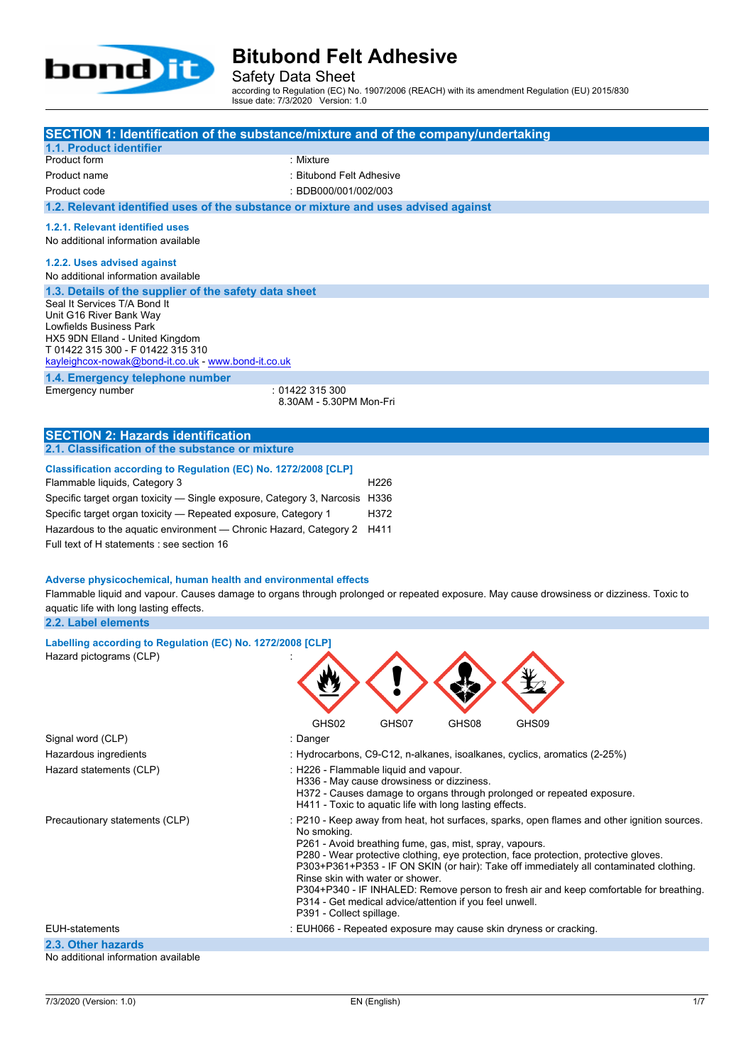

Safety Data Sheet

according to Regulation (EC) No. 1907/2006 (REACH) with its amendment Regulation (EU) 2015/830 Issue date: 7/3/2020 Version: 1.0

| SECTION 1: Identification of the substance/mixture and of the company/undertaking                                                                                                                                                                                                                                                                                    |                                            |                                                                                                      |       |                                                                                                                                                                                                                                                                                                                                                                         |  |
|----------------------------------------------------------------------------------------------------------------------------------------------------------------------------------------------------------------------------------------------------------------------------------------------------------------------------------------------------------------------|--------------------------------------------|------------------------------------------------------------------------------------------------------|-------|-------------------------------------------------------------------------------------------------------------------------------------------------------------------------------------------------------------------------------------------------------------------------------------------------------------------------------------------------------------------------|--|
| 1.1. Product identifier<br>Product form                                                                                                                                                                                                                                                                                                                              | : Mixture                                  |                                                                                                      |       |                                                                                                                                                                                                                                                                                                                                                                         |  |
| Product name                                                                                                                                                                                                                                                                                                                                                         | : Bitubond Felt Adhesive                   |                                                                                                      |       |                                                                                                                                                                                                                                                                                                                                                                         |  |
|                                                                                                                                                                                                                                                                                                                                                                      | : BDB000/001/002/003                       |                                                                                                      |       |                                                                                                                                                                                                                                                                                                                                                                         |  |
| Product code                                                                                                                                                                                                                                                                                                                                                         |                                            |                                                                                                      |       |                                                                                                                                                                                                                                                                                                                                                                         |  |
| 1.2. Relevant identified uses of the substance or mixture and uses advised against                                                                                                                                                                                                                                                                                   |                                            |                                                                                                      |       |                                                                                                                                                                                                                                                                                                                                                                         |  |
| 1.2.1. Relevant identified uses<br>No additional information available                                                                                                                                                                                                                                                                                               |                                            |                                                                                                      |       |                                                                                                                                                                                                                                                                                                                                                                         |  |
| 1.2.2. Uses advised against<br>No additional information available<br>1.3. Details of the supplier of the safety data sheet<br>Seal It Services T/A Bond It                                                                                                                                                                                                          |                                            |                                                                                                      |       |                                                                                                                                                                                                                                                                                                                                                                         |  |
| Unit G16 River Bank Way<br>Lowfields Business Park<br>HX5 9DN Elland - United Kingdom<br>T 01422 315 300 - F 01422 315 310<br>kayleighcox-nowak@bond-it.co.uk - www.bond-it.co.uk                                                                                                                                                                                    |                                            |                                                                                                      |       |                                                                                                                                                                                                                                                                                                                                                                         |  |
| 1.4. Emergency telephone number<br>Emergency number                                                                                                                                                                                                                                                                                                                  | : 01422 315 300<br>8.30AM - 5.30PM Mon-Fri |                                                                                                      |       |                                                                                                                                                                                                                                                                                                                                                                         |  |
| <b>SECTION 2: Hazards identification</b>                                                                                                                                                                                                                                                                                                                             |                                            |                                                                                                      |       |                                                                                                                                                                                                                                                                                                                                                                         |  |
| 2.1. Classification of the substance or mixture                                                                                                                                                                                                                                                                                                                      |                                            |                                                                                                      |       |                                                                                                                                                                                                                                                                                                                                                                         |  |
| Classification according to Regulation (EC) No. 1272/2008 [CLP]<br>Flammable liquids, Category 3<br>Specific target organ toxicity - Single exposure, Category 3, Narcosis H336<br>Specific target organ toxicity - Repeated exposure, Category 1<br>Hazardous to the aquatic environment - Chronic Hazard, Category 2<br>Full text of H statements : see section 16 |                                            | H <sub>226</sub><br>H372<br>H411                                                                     |       |                                                                                                                                                                                                                                                                                                                                                                         |  |
| Adverse physicochemical, human health and environmental effects<br>Flammable liquid and vapour. Causes damage to organs through prolonged or repeated exposure. May cause drowsiness or dizziness. Toxic to<br>aquatic life with long lasting effects.<br>2.2. Label elements                                                                                        |                                            |                                                                                                      |       |                                                                                                                                                                                                                                                                                                                                                                         |  |
| Labelling according to Regulation (EC) No. 1272/2008 [CLP]                                                                                                                                                                                                                                                                                                           |                                            |                                                                                                      |       |                                                                                                                                                                                                                                                                                                                                                                         |  |
| Hazard pictograms (CLP)                                                                                                                                                                                                                                                                                                                                              |                                            |                                                                                                      |       |                                                                                                                                                                                                                                                                                                                                                                         |  |
|                                                                                                                                                                                                                                                                                                                                                                      | GHS02                                      | GHS07                                                                                                | GHS08 | GHS09                                                                                                                                                                                                                                                                                                                                                                   |  |
| Signal word (CLP)                                                                                                                                                                                                                                                                                                                                                    | : Danger                                   |                                                                                                      |       |                                                                                                                                                                                                                                                                                                                                                                         |  |
| Hazardous ingredients                                                                                                                                                                                                                                                                                                                                                |                                            |                                                                                                      |       | : Hydrocarbons, C9-C12, n-alkanes, isoalkanes, cyclics, aromatics (2-25%)                                                                                                                                                                                                                                                                                               |  |
| Hazard statements (CLP)                                                                                                                                                                                                                                                                                                                                              | : H226 - Flammable liquid and vapour.      | H336 - May cause drowsiness or dizziness.<br>H411 - Toxic to aquatic life with long lasting effects. |       | H372 - Causes damage to organs through prolonged or repeated exposure.                                                                                                                                                                                                                                                                                                  |  |
| Precautionary statements (CLP)                                                                                                                                                                                                                                                                                                                                       | No smoking.                                | P261 - Avoid breathing fume, gas, mist, spray, vapours.<br>Rinse skin with water or shower.          |       | : P210 - Keep away from heat, hot surfaces, sparks, open flames and other ignition sources.<br>P280 - Wear protective clothing, eye protection, face protection, protective gloves.<br>P303+P361+P353 - IF ON SKIN (or hair): Take off immediately all contaminated clothing.<br>P304+P340 - IF INHALED: Remove person to fresh air and keep comfortable for breathing. |  |

P314 - Get medical advice/attention if you feel unwell. P391 - Collect spillage.

EUH-statements : EUH066 - Repeated exposure may cause skin dryness or cracking.

### **2.3. Other hazards**

No additional information available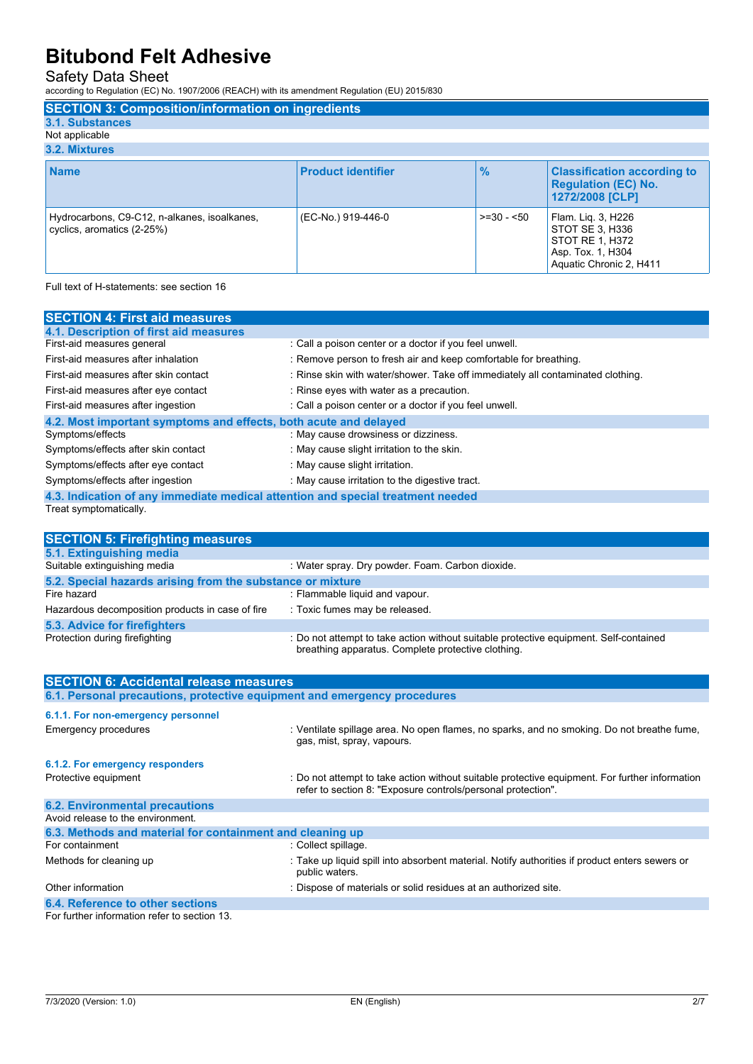Safety Data Sheet

according to Regulation (EC) No. 1907/2006 (REACH) with its amendment Regulation (EU) 2015/830

| <b>SECTION 3: Composition/information on ingredients</b>                   |                           |               |                                                                                                          |
|----------------------------------------------------------------------------|---------------------------|---------------|----------------------------------------------------------------------------------------------------------|
| 3.1. Substances                                                            |                           |               |                                                                                                          |
| Not applicable                                                             |                           |               |                                                                                                          |
| 3.2. Mixtures                                                              |                           |               |                                                                                                          |
| <b>Name</b>                                                                | <b>Product identifier</b> | $\frac{9}{6}$ | <b>Classification according to</b><br><b>Regulation (EC) No.</b><br>1272/2008 [CLP]                      |
| Hydrocarbons, C9-C12, n-alkanes, isoalkanes,<br>cyclics, aromatics (2-25%) | (EC-No.) 919-446-0        | $>=30 - 50$   | Flam. Lig. 3, H226<br>STOT SE 3, H336<br>STOT RE 1, H372<br>Asp. Tox. 1, H304<br>Aquatic Chronic 2, H411 |

Full text of H-statements: see section 16

| <b>SECTION 4: First aid measures</b>                                            |                                                                                 |  |
|---------------------------------------------------------------------------------|---------------------------------------------------------------------------------|--|
| 4.1. Description of first aid measures                                          |                                                                                 |  |
| First-aid measures general                                                      | : Call a poison center or a doctor if you feel unwell.                          |  |
| First-aid measures after inhalation                                             | : Remove person to fresh air and keep comfortable for breathing.                |  |
| First-aid measures after skin contact                                           | : Rinse skin with water/shower. Take off immediately all contaminated clothing. |  |
| First-aid measures after eye contact                                            | : Rinse eyes with water as a precaution.                                        |  |
| First-aid measures after ingestion                                              | : Call a poison center or a doctor if you feel unwell.                          |  |
| 4.2. Most important symptoms and effects, both acute and delayed                |                                                                                 |  |
| Symptoms/effects                                                                | : May cause drowsiness or dizziness.                                            |  |
| Symptoms/effects after skin contact                                             | : May cause slight irritation to the skin.                                      |  |
| Symptoms/effects after eye contact                                              | : May cause slight irritation.                                                  |  |
| Symptoms/effects after ingestion                                                | : May cause irritation to the digestive tract.                                  |  |
| 4.3. Indication of any immediate medical attention and special treatment needed |                                                                                 |  |

Treat symptomatically.

| <b>SECTION 5: Firefighting measures</b>                                  |                                                                                                                                                                |
|--------------------------------------------------------------------------|----------------------------------------------------------------------------------------------------------------------------------------------------------------|
| 5.1. Extinguishing media                                                 |                                                                                                                                                                |
| Suitable extinguishing media                                             | : Water spray. Dry powder. Foam. Carbon dioxide.                                                                                                               |
| 5.2. Special hazards arising from the substance or mixture               |                                                                                                                                                                |
| Fire hazard                                                              | : Flammable liquid and vapour.                                                                                                                                 |
| Hazardous decomposition products in case of fire                         | : Toxic fumes may be released.                                                                                                                                 |
| 5.3. Advice for firefighters                                             |                                                                                                                                                                |
| Protection during firefighting                                           | : Do not attempt to take action without suitable protective equipment. Self-contained<br>breathing apparatus. Complete protective clothing.                    |
|                                                                          |                                                                                                                                                                |
| <b>SECTION 6: Accidental release measures</b>                            |                                                                                                                                                                |
| 6.1. Personal precautions, protective equipment and emergency procedures |                                                                                                                                                                |
| 6.1.1. For non-emergency personnel                                       |                                                                                                                                                                |
| <b>Emergency procedures</b>                                              | : Ventilate spillage area. No open flames, no sparks, and no smoking. Do not breathe fume,<br>gas, mist, spray, vapours.                                       |
| 6.1.2. For emergency responders                                          |                                                                                                                                                                |
| Protective equipment                                                     | : Do not attempt to take action without suitable protective equipment. For further information<br>refer to section 8: "Exposure controls/personal protection". |
| <b>6.2. Environmental precautions</b>                                    |                                                                                                                                                                |
| Avoid release to the environment.                                        |                                                                                                                                                                |

| 6.3. Methods and material for containment and cleaning up |                                                                                                                  |  |
|-----------------------------------------------------------|------------------------------------------------------------------------------------------------------------------|--|
| For containment                                           | : Collect spillage.                                                                                              |  |
| Methods for cleaning up                                   | : Take up liquid spill into absorbent material. Notify authorities if product enters sewers or<br>public waters. |  |
| Other information                                         | : Dispose of materials or solid residues at an authorized site.                                                  |  |
| 6.4. Reference to other sections                          |                                                                                                                  |  |

For further information refer to section 13.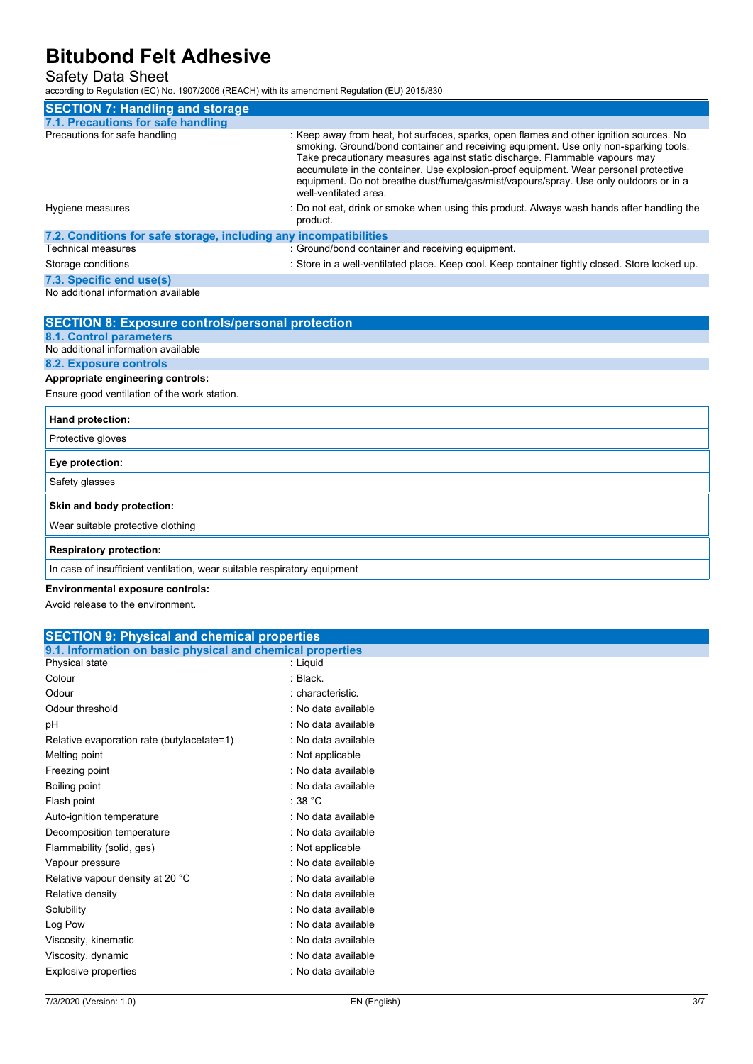Safety Data Sheet

according to Regulation (EC) No. 1907/2006 (REACH) with its amendment Regulation (EU) 2015/830

| <b>SECTION 7: Handling and storage</b>                            |                                                                                                                                                                                                                                                                                                                                                                                                                                                                          |
|-------------------------------------------------------------------|--------------------------------------------------------------------------------------------------------------------------------------------------------------------------------------------------------------------------------------------------------------------------------------------------------------------------------------------------------------------------------------------------------------------------------------------------------------------------|
| 7.1. Precautions for safe handling                                |                                                                                                                                                                                                                                                                                                                                                                                                                                                                          |
| Precautions for safe handling                                     | : Keep away from heat, hot surfaces, sparks, open flames and other ignition sources. No<br>smoking. Ground/bond container and receiving equipment. Use only non-sparking tools.<br>Take precautionary measures against static discharge. Flammable vapours may<br>accumulate in the container. Use explosion-proof equipment. Wear personal protective<br>equipment. Do not breathe dust/fume/gas/mist/vapours/spray. Use only outdoors or in a<br>well-ventilated area. |
| Hygiene measures                                                  | : Do not eat, drink or smoke when using this product. Always wash hands after handling the<br>product.                                                                                                                                                                                                                                                                                                                                                                   |
| 7.2. Conditions for safe storage, including any incompatibilities |                                                                                                                                                                                                                                                                                                                                                                                                                                                                          |
| <b>Technical measures</b>                                         | : Ground/bond container and receiving equipment.                                                                                                                                                                                                                                                                                                                                                                                                                         |
| Storage conditions                                                | : Store in a well-ventilated place. Keep cool. Keep container tightly closed. Store locked up.                                                                                                                                                                                                                                                                                                                                                                           |
| 7.3. Specific end use(s)                                          |                                                                                                                                                                                                                                                                                                                                                                                                                                                                          |
| No additional information available                               |                                                                                                                                                                                                                                                                                                                                                                                                                                                                          |

| <b>SECTION 8: Exposure controls/personal protection</b>                  |
|--------------------------------------------------------------------------|
| <b>8.1. Control parameters</b>                                           |
| No additional information available                                      |
| 8.2. Exposure controls                                                   |
| Appropriate engineering controls:                                        |
| Ensure good ventilation of the work station.                             |
| Hand protection:                                                         |
| Protective gloves                                                        |
| Eye protection:                                                          |
| Safety glasses                                                           |
| Skin and body protection:                                                |
| Wear suitable protective clothing                                        |
| <b>Respiratory protection:</b>                                           |
| In case of insufficient ventilation, wear suitable respiratory equipment |
|                                                                          |

#### **Environmental exposure controls:**

Avoid release to the environment.

| <b>SECTION 9: Physical and chemical properties</b>         |                     |  |
|------------------------------------------------------------|---------------------|--|
| 9.1. Information on basic physical and chemical properties |                     |  |
| Physical state                                             | : Liquid            |  |
| Colour                                                     | : Black.            |  |
| Odour                                                      | : characteristic.   |  |
| Odour threshold                                            | : No data available |  |
| рH                                                         | : No data available |  |
| Relative evaporation rate (butylacetate=1)                 | : No data available |  |
| Melting point                                              | : Not applicable    |  |
| Freezing point                                             | : No data available |  |
| Boiling point                                              | : No data available |  |
| Flash point                                                | :38 °C              |  |
| Auto-ignition temperature                                  | : No data available |  |
| Decomposition temperature                                  | : No data available |  |
| Flammability (solid, gas)                                  | : Not applicable    |  |
| Vapour pressure                                            | : No data available |  |
| Relative vapour density at 20 °C                           | : No data available |  |
| Relative density                                           | : No data available |  |
| Solubility                                                 | : No data available |  |
| Log Pow                                                    | : No data available |  |
| Viscosity, kinematic                                       | : No data available |  |
| Viscosity, dynamic                                         | : No data available |  |
| Explosive properties                                       | : No data available |  |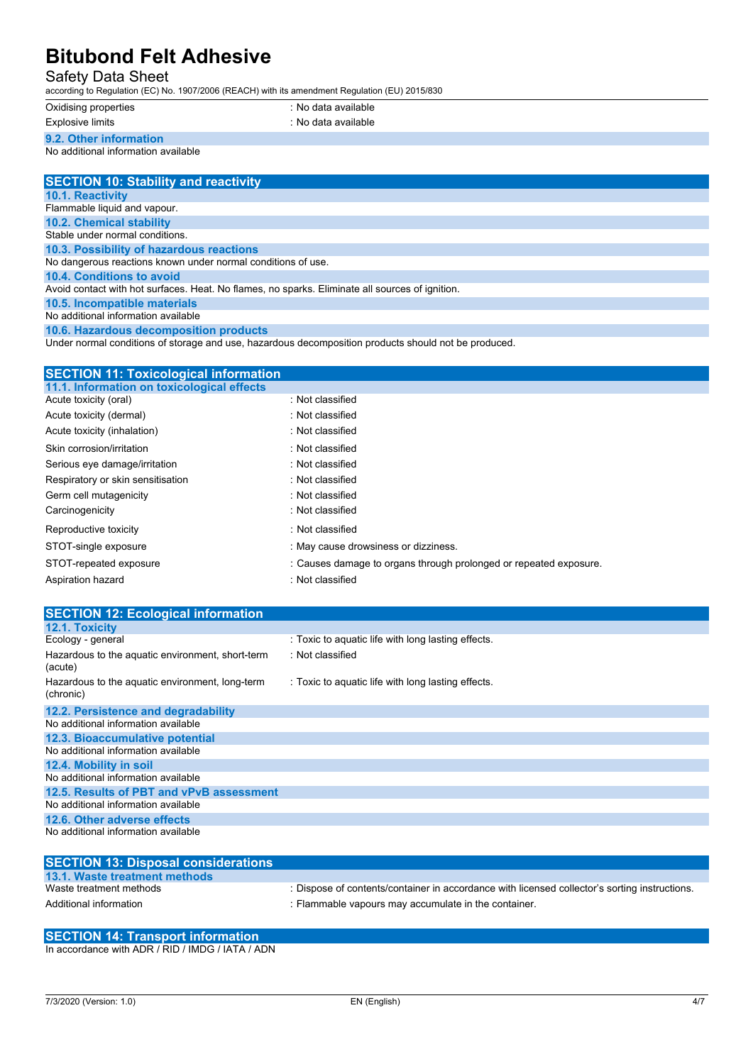#### Safety Data Sheet

according to Regulation (EC) No. 1907/2006 (REACH) with its amendment Regulation (EU) 2015/830

| Oxidising properti |  |
|--------------------|--|
|--------------------|--|

Explosive limits **Explosive Limits** in the second section of the second section of the second section of the second section of the second section of the second section of the second section of the second section of the sec

oxidis<br>ies : No data available

**9.2. Other information**

No additional information available

| <b>SECTION 10: Stability and reactivity</b>                                                                                                                                                                                          |
|--------------------------------------------------------------------------------------------------------------------------------------------------------------------------------------------------------------------------------------|
| <b>10.1. Reactivity</b>                                                                                                                                                                                                              |
| Flammable liquid and vapour.                                                                                                                                                                                                         |
| <b>10.2. Chemical stability</b>                                                                                                                                                                                                      |
| Stable under normal conditions.                                                                                                                                                                                                      |
| 10.3. Possibility of hazardous reactions                                                                                                                                                                                             |
| No dangerous reactions known under normal conditions of use.                                                                                                                                                                         |
| 10.4. Conditions to avoid                                                                                                                                                                                                            |
| Avoid contact with hot surfaces. Heat. No flames, no sparks. Eliminate all sources of ignition.                                                                                                                                      |
| 10.5. Incompatible materials                                                                                                                                                                                                         |
| No additional information available                                                                                                                                                                                                  |
| <b>ARRAIGHTENT CONTROL CONTRACT CONTRACT AND ACCOUNT AND ACCOUNT AND ACCOUNT ACCOUNT ACCOUNT ACCOUNT ACCOUNT ACCOUNT ACCOUNT ACCOUNT ACCOUNT ACCOUNT ACCOUNT ACCOUNT ACCOUNT ACCOUNT ACCOUNT ACCOUNT ACCOUNT ACCOUNT ACCOUNT ACC</b> |

**10.6. Hazardous decomposition products** Under normal conditions of storage and use, hazardous decomposition products should not be produced.

#### **SECTION 11: Toxicological information**

| : Not classified                                                  |
|-------------------------------------------------------------------|
| : Not classified                                                  |
| : Not classified                                                  |
| : Not classified                                                  |
| : Not classified                                                  |
| : Not classified                                                  |
| : Not classified                                                  |
| : Not classified                                                  |
| : Not classified                                                  |
| : May cause drowsiness or dizziness.                              |
| : Causes damage to organs through prolonged or repeated exposure. |
| : Not classified                                                  |
|                                                                   |

| <b>SECTION 12: Ecological information</b>                    |                                                    |
|--------------------------------------------------------------|----------------------------------------------------|
| <b>12.1. Toxicity</b>                                        |                                                    |
| Ecology - general                                            | : Toxic to aquatic life with long lasting effects. |
| Hazardous to the aquatic environment, short-term<br>(acute)  | : Not classified                                   |
| Hazardous to the aquatic environment, long-term<br>(chronic) | : Toxic to aquatic life with long lasting effects. |
| 12.2. Persistence and degradability                          |                                                    |
| No additional information available                          |                                                    |
| 12.3. Bioaccumulative potential                              |                                                    |
| No additional information available                          |                                                    |
| 12.4. Mobility in soil                                       |                                                    |
| No additional information available                          |                                                    |
| 12.5. Results of PBT and vPvB assessment                     |                                                    |
| No additional information available                          |                                                    |
| 12.6. Other adverse effects                                  |                                                    |
| No additional information available                          |                                                    |

| <b>SECTION 13: Disposal considerations</b> |                                                                                               |
|--------------------------------------------|-----------------------------------------------------------------------------------------------|
| 13.1. Waste treatment methods              |                                                                                               |
| Waste treatment methods                    | : Dispose of contents/container in accordance with licensed collector's sorting instructions. |
| Additional information                     | : Flammable vapours may accumulate in the container.                                          |

### **SECTION 14: Transport information**

In accordance with ADR / RID / IMDG / IATA / ADN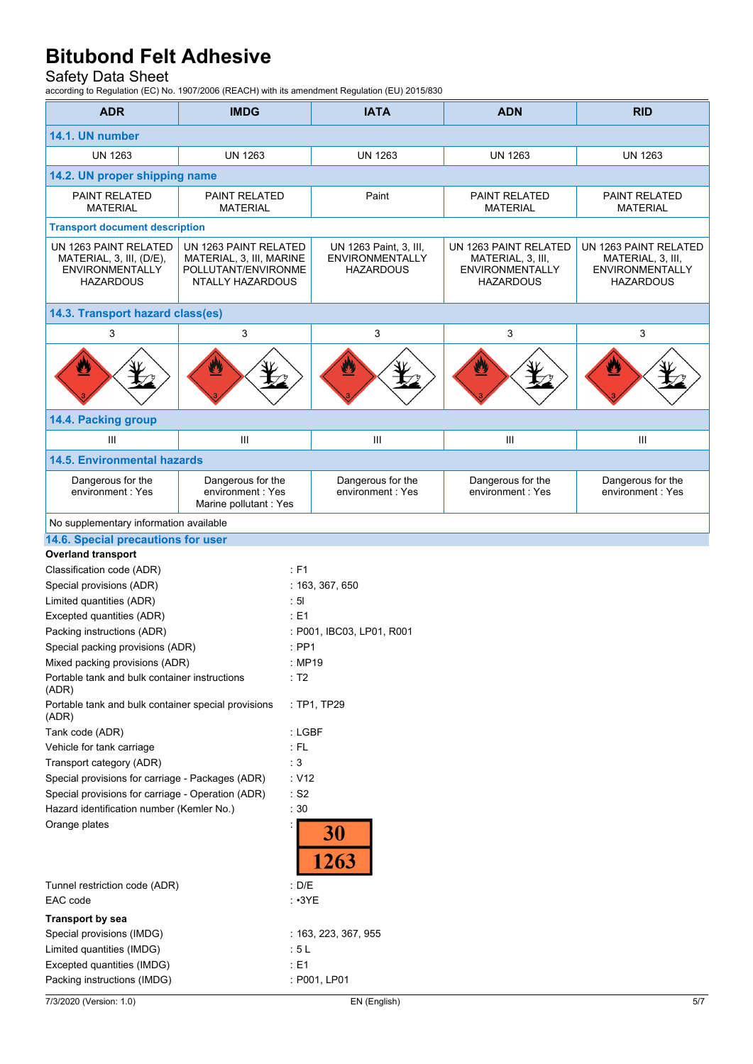#### Safety Data Sheet

according to Regulation (EC) No. 1907/2006 (REACH) with its amendment Regulation (EU) 2015/830

| <b>ADR</b>                                                                                      | <b>IMDG</b>                                                                                  | <b>IATA</b>                                                          | <b>ADN</b>                                                                               | <b>RID</b>                                                                        |  |  |
|-------------------------------------------------------------------------------------------------|----------------------------------------------------------------------------------------------|----------------------------------------------------------------------|------------------------------------------------------------------------------------------|-----------------------------------------------------------------------------------|--|--|
| 14.1. UN number                                                                                 |                                                                                              |                                                                      |                                                                                          |                                                                                   |  |  |
| <b>UN 1263</b>                                                                                  | <b>UN 1263</b>                                                                               | <b>UN 1263</b>                                                       | <b>UN 1263</b>                                                                           | <b>UN 1263</b>                                                                    |  |  |
|                                                                                                 |                                                                                              |                                                                      |                                                                                          |                                                                                   |  |  |
| 14.2. UN proper shipping name                                                                   |                                                                                              |                                                                      |                                                                                          |                                                                                   |  |  |
| PAINT RELATED<br><b>MATERIAL</b>                                                                | <b>PAINT RELATED</b><br><b>MATERIAL</b>                                                      | Paint                                                                | <b>PAINT RELATED</b><br><b>MATERIAL</b>                                                  | PAINT RELATED<br><b>MATERIAL</b>                                                  |  |  |
| <b>Transport document description</b>                                                           |                                                                                              |                                                                      |                                                                                          |                                                                                   |  |  |
| UN 1263 PAINT RELATED<br>MATERIAL, 3, III, (D/E),<br><b>ENVIRONMENTALLY</b><br><b>HAZARDOUS</b> | UN 1263 PAINT RELATED<br>MATERIAL, 3, III, MARINE<br>POLLUTANT/ENVIRONME<br>NTALLY HAZARDOUS | UN 1263 Paint, 3, III,<br><b>ENVIRONMENTALLY</b><br><b>HAZARDOUS</b> | UN 1263 PAINT RELATED<br>MATERIAL, 3, III,<br><b>ENVIRONMENTALLY</b><br><b>HAZARDOUS</b> | UN 1263 PAINT RELATED<br>MATERIAL, 3, III,<br><b>ENVIRONMENTALLY</b><br>HAZARDOUS |  |  |
| 14.3. Transport hazard class(es)                                                                |                                                                                              |                                                                      |                                                                                          |                                                                                   |  |  |
| 3                                                                                               | 3                                                                                            | 3                                                                    | 3                                                                                        | 3                                                                                 |  |  |
| ₩                                                                                               |                                                                                              | ¥                                                                    |                                                                                          |                                                                                   |  |  |
| 14.4. Packing group                                                                             |                                                                                              |                                                                      |                                                                                          |                                                                                   |  |  |
| Ш                                                                                               | III                                                                                          | $\mathbf{III}$                                                       | Ш                                                                                        | Ш                                                                                 |  |  |
| <b>14.5. Environmental hazards</b>                                                              |                                                                                              |                                                                      |                                                                                          |                                                                                   |  |  |
| Dangerous for the<br>environment: Yes                                                           | Dangerous for the<br>environment: Yes<br>Marine pollutant : Yes                              | Dangerous for the<br>environment: Yes                                | Dangerous for the<br>environment: Yes                                                    | Dangerous for the<br>environment : Yes                                            |  |  |
| No supplementary information available                                                          |                                                                                              |                                                                      |                                                                                          |                                                                                   |  |  |
| 14.6. Special precautions for user                                                              |                                                                                              |                                                                      |                                                                                          |                                                                                   |  |  |
| <b>Overland transport</b>                                                                       |                                                                                              |                                                                      |                                                                                          |                                                                                   |  |  |
| Classification code (ADR)                                                                       | $:$ F1                                                                                       |                                                                      |                                                                                          |                                                                                   |  |  |
| Special provisions (ADR)                                                                        |                                                                                              | : 163, 367, 650                                                      |                                                                                          |                                                                                   |  |  |
| $\cdot$ 5<br>Limited quantities (ADR)                                                           |                                                                                              |                                                                      |                                                                                          |                                                                                   |  |  |
| Excepted quantities (ADR)                                                                       |                                                                                              | E1                                                                   |                                                                                          |                                                                                   |  |  |
| Packing instructions (ADR)                                                                      |                                                                                              | : P001, IBC03, LP01, R001                                            |                                                                                          |                                                                                   |  |  |
| Special packing provisions (ADR)                                                                |                                                                                              | $:$ PP1                                                              |                                                                                          |                                                                                   |  |  |
| Mixed packing provisions (ADR)                                                                  |                                                                                              | : MP19                                                               |                                                                                          |                                                                                   |  |  |
| Portable tank and bulk container instructions<br>(ADR)                                          |                                                                                              | : T2                                                                 |                                                                                          |                                                                                   |  |  |
| Portable tank and bulk container special provisions<br>(ADR)                                    |                                                                                              | : TP1, TP29                                                          |                                                                                          |                                                                                   |  |  |
| Tank code (ADR)                                                                                 |                                                                                              | : LGBF                                                               |                                                                                          |                                                                                   |  |  |
| $:$ FL<br>Vehicle for tank carriage                                                             |                                                                                              |                                                                      |                                                                                          |                                                                                   |  |  |
| : 3<br>Transport category (ADR)                                                                 |                                                                                              |                                                                      |                                                                                          |                                                                                   |  |  |
| Special provisions for carriage - Packages (ADR)                                                | : V12                                                                                        |                                                                      |                                                                                          |                                                                                   |  |  |
| Special provisions for carriage - Operation (ADR)<br>$\cdot$ S2                                 |                                                                                              |                                                                      |                                                                                          |                                                                                   |  |  |
| Hazard identification number (Kemler No.)<br>:30                                                |                                                                                              |                                                                      |                                                                                          |                                                                                   |  |  |
| Orange plates                                                                                   |                                                                                              | 30<br>263                                                            |                                                                                          |                                                                                   |  |  |
| Tunnel restriction code (ADR)<br>: $D/E$                                                        |                                                                                              |                                                                      |                                                                                          |                                                                                   |  |  |
| EAC code                                                                                        | $\cdot$ $\cdot$ 3YE                                                                          |                                                                      |                                                                                          |                                                                                   |  |  |
| <b>Transport by sea</b>                                                                         |                                                                                              |                                                                      |                                                                                          |                                                                                   |  |  |
| Special provisions (IMDG)                                                                       |                                                                                              | : 163, 223, 367, 955                                                 |                                                                                          |                                                                                   |  |  |
| Limited quantities (IMDG)                                                                       |                                                                                              | :5L                                                                  |                                                                                          |                                                                                   |  |  |
| Excepted quantities (IMDG)                                                                      |                                                                                              | E1                                                                   |                                                                                          |                                                                                   |  |  |
| Packing instructions (IMDG)                                                                     |                                                                                              | : P001, LP01                                                         |                                                                                          |                                                                                   |  |  |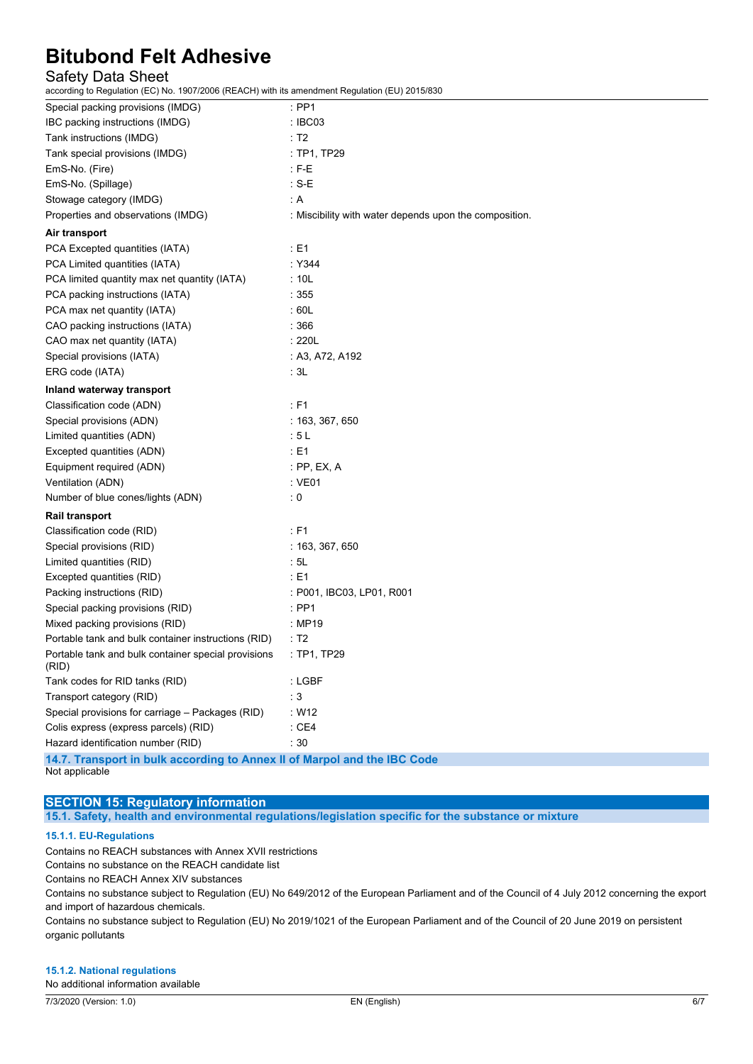### Safety Data Sheet

according to Regulation (EC) No. 1907/2006 (REACH) with its amendment Regulation (EU) 2015/830

| $\sim$ $\sim$ $\sim$ $\sim$                                              |                                                        |
|--------------------------------------------------------------------------|--------------------------------------------------------|
| Special packing provisions (IMDG)                                        | : PP1                                                  |
| IBC packing instructions (IMDG)                                          | : IBC03                                                |
| Tank instructions (IMDG)                                                 | : T2                                                   |
| Tank special provisions (IMDG)                                           | : TP1, TP29                                            |
| EmS-No. (Fire)                                                           | $E = E$                                                |
| EmS-No. (Spillage)                                                       | : S-E                                                  |
| Stowage category (IMDG)                                                  | : ${\sf A}$                                            |
| Properties and observations (IMDG)                                       | : Miscibility with water depends upon the composition. |
| Air transport                                                            |                                                        |
| PCA Excepted quantities (IATA)                                           | : E1                                                   |
| PCA Limited quantities (IATA)                                            | : Y344                                                 |
| PCA limited quantity max net quantity (IATA)                             | : 10L                                                  |
| PCA packing instructions (IATA)                                          | : 355                                                  |
| PCA max net quantity (IATA)                                              | : 60L                                                  |
| CAO packing instructions (IATA)                                          | :366                                                   |
| CAO max net quantity (IATA)                                              | : 220L                                                 |
| Special provisions (IATA)                                                | : A3, A72, A192                                        |
| ERG code (IATA)                                                          | :3L                                                    |
| Inland waterway transport                                                |                                                        |
| Classification code (ADN)                                                | : F1                                                   |
| Special provisions (ADN)                                                 | : 163, 367, 650                                        |
| Limited quantities (ADN)                                                 | : 5L                                                   |
| Excepted quantities (ADN)                                                | : E1                                                   |
| Equipment required (ADN)                                                 | : PP, EX, A                                            |
| Ventilation (ADN)                                                        | $:$ VE01                                               |
| Number of blue cones/lights (ADN)                                        | $\mathbf{0}$                                           |
| <b>Rail transport</b>                                                    |                                                        |
| Classification code (RID)                                                | : F1                                                   |
| Special provisions (RID)                                                 | : 163, 367, 650                                        |
| Limited quantities (RID)                                                 | : 5L                                                   |
| Excepted quantities (RID)                                                | : E1                                                   |
| Packing instructions (RID)                                               | : P001, IBC03, LP01, R001                              |
| Special packing provisions (RID)                                         | : PP1                                                  |
| Mixed packing provisions (RID)                                           | : MP19                                                 |
| Portable tank and bulk container instructions (RID)                      | : T2                                                   |
| Portable tank and bulk container special provisions<br>(RID)             | : TP1, TP29                                            |
| Tank codes for RID tanks (RID)                                           | : LGBF                                                 |
| Transport category (RID)                                                 | $\cdot$ 3                                              |
| Special provisions for carriage - Packages (RID)                         | W12                                                    |
| Colis express (express parcels) (RID)                                    | $\therefore$ CE4                                       |
| Hazard identification number (RID)                                       | :30                                                    |
| 14.7. Transport in bulk according to Annex II of Marpol and the IBC Code |                                                        |

Not applicable

### **SECTION 15: Regulatory information**

**15.1. Safety, health and environmental regulations/legislation specific for the substance or mixture**

#### **15.1.1. EU-Regulations**

Contains no REACH substances with Annex XVII restrictions Contains no substance on the REACH candidate list Contains no REACH Annex XIV substances Contains no substance subject to Regulation (EU) No 649/2012 of the European Parliament and of the Council of 4 July 2012 concerning the export

and import of hazardous chemicals. Contains no substance subject to Regulation (EU) No 2019/1021 of the European Parliament and of the Council of 20 June 2019 on persistent

organic pollutants

#### **15.1.2. National regulations**

No additional information available